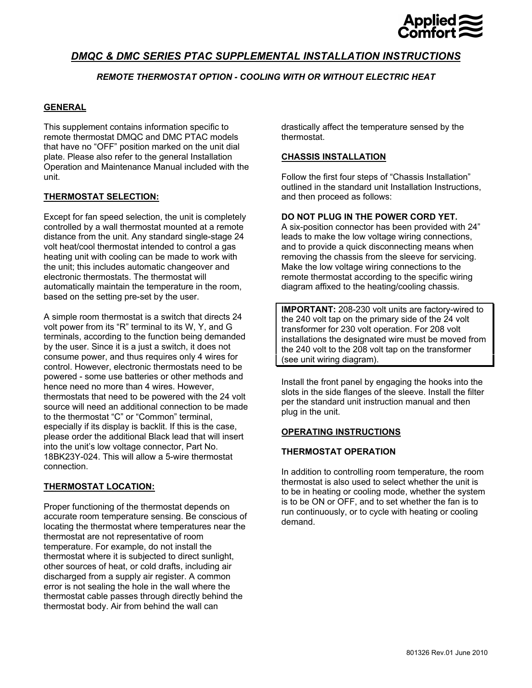

# *DMQC & DMC SERIES PTAC SUPPLEMENTAL INSTALLATION INSTRUCTIONS*

# *REMOTE THERMOSTAT OPTION - COOLING WITH OR WITHOUT ELECTRIC HEAT*

### **GENERAL**

This supplement contains information specific to remote thermostat DMQC and DMC PTAC models that have no "OFF" position marked on the unit dial plate. Please also refer to the general Installation Operation and Maintenance Manual included with the unit.

#### **THERMOSTAT SELECTION:**

Except for fan speed selection, the unit is completely controlled by a wall thermostat mounted at a remote distance from the unit. Any standard single-stage 24 volt heat/cool thermostat intended to control a gas heating unit with cooling can be made to work with the unit; this includes automatic changeover and electronic thermostats. The thermostat will automatically maintain the temperature in the room, based on the setting pre-set by the user.

A simple room thermostat is a switch that directs 24 volt power from its "R" terminal to its W, Y, and G terminals, according to the function being demanded by the user. Since it is a just a switch, it does not consume power, and thus requires only 4 wires for control. However, electronic thermostats need to be powered - some use batteries or other methods and hence need no more than 4 wires. However, thermostats that need to be powered with the 24 volt source will need an additional connection to be made to the thermostat "C" or "Common" terminal, especially if its display is backlit. If this is the case, please order the additional Black lead that will insert into the unit's low voltage connector, Part No. 18BK23Y-024. This will allow a 5-wire thermostat connection.

## **THERMOSTAT LOCATION:**

Proper functioning of the thermostat depends on accurate room temperature sensing. Be conscious of locating the thermostat where temperatures near the thermostat are not representative of room temperature. For example, do not install the thermostat where it is subjected to direct sunlight, other sources of heat, or cold drafts, including air discharged from a supply air register. A common error is not sealing the hole in the wall where the thermostat cable passes through directly behind the thermostat body. Air from behind the wall can

drastically affect the temperature sensed by the thermostat.

#### **CHASSIS INSTALLATION**

Follow the first four steps of "Chassis Installation" outlined in the standard unit Installation Instructions, and then proceed as follows:

#### **DO NOT PLUG IN THE POWER CORD YET.**

A six-position connector has been provided with 24" leads to make the low voltage wiring connections, and to provide a quick disconnecting means when removing the chassis from the sleeve for servicing. Make the low voltage wiring connections to the remote thermostat according to the specific wiring diagram affixed to the heating/cooling chassis.

**IMPORTANT:** 208-230 volt units are factory-wired to the 240 volt tap on the primary side of the 24 volt transformer for 230 volt operation. For 208 volt installations the designated wire must be moved from the 240 volt to the 208 volt tap on the transformer (see unit wiring diagram).

Install the front panel by engaging the hooks into the slots in the side flanges of the sleeve. Install the filter per the standard unit instruction manual and then plug in the unit.

#### **OPERATING INSTRUCTIONS**

#### **THERMOSTAT OPERATION**

In addition to controlling room temperature, the room thermostat is also used to select whether the unit is to be in heating or cooling mode, whether the system is to be ON or OFF, and to set whether the fan is to run continuously, or to cycle with heating or cooling demand.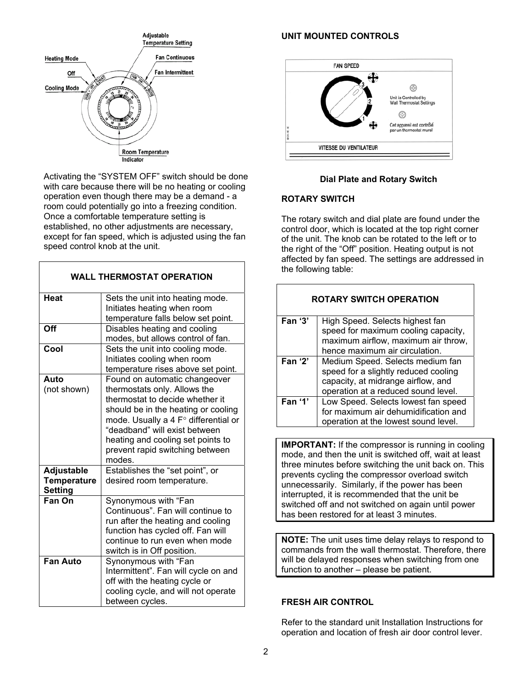

Activating the "SYSTEM OFF" switch should be done with care because there will be no heating or cooling operation even though there may be a demand - a room could potentially go into a freezing condition. Once a comfortable temperature setting is established, no other adjustments are necessary, except for fan speed, which is adjusted using the fan speed control knob at the unit.

| <b>WALL THERMOSTAT OPERATION</b>                   |                                                                                                                                                                                                                                                                                                    |  |  |
|----------------------------------------------------|----------------------------------------------------------------------------------------------------------------------------------------------------------------------------------------------------------------------------------------------------------------------------------------------------|--|--|
| Heat                                               | Sets the unit into heating mode.<br>Initiates heating when room<br>temperature falls below set point.                                                                                                                                                                                              |  |  |
| Off                                                | Disables heating and cooling<br>modes, but allows control of fan.                                                                                                                                                                                                                                  |  |  |
| Cool                                               | Sets the unit into cooling mode.<br>Initiates cooling when room<br>temperature rises above set point.                                                                                                                                                                                              |  |  |
| Auto<br>(not shown)                                | Found on automatic changeover<br>thermostats only. Allows the<br>thermostat to decide whether it<br>should be in the heating or cooling<br>mode. Usually a 4 F° differential or<br>"deadband" will exist between<br>heating and cooling set points to<br>prevent rapid switching between<br>modes. |  |  |
| Adjustable<br><b>Temperature</b><br><b>Setting</b> | Establishes the "set point", or<br>desired room temperature.                                                                                                                                                                                                                                       |  |  |
| Fan On                                             | Synonymous with "Fan<br>Continuous". Fan will continue to<br>run after the heating and cooling<br>function has cycled off. Fan will<br>continue to run even when mode<br>switch is in Off position.                                                                                                |  |  |
| <b>Fan Auto</b>                                    | Synonymous with "Fan<br>Intermittent". Fan will cycle on and<br>off with the heating cycle or<br>cooling cycle, and will not operate<br>between cycles.                                                                                                                                            |  |  |

# **UNIT MOUNTED CONTROLS**



# **Dial Plate and Rotary Switch**

#### **ROTARY SWITCH**

The rotary switch and dial plate are found under the control door, which is located at the top right corner of the unit. The knob can be rotated to the left or to the right of the "Off" position. Heating output is not affected by fan speed. The settings are addressed in the following table:

| <b>ROTARY SWITCH OPERATION</b>                           |                                                                                                                                                       |  |  |
|----------------------------------------------------------|-------------------------------------------------------------------------------------------------------------------------------------------------------|--|--|
| Fan $'3'$                                                | High Speed. Selects highest fan<br>speed for maximum cooling capacity,<br>maximum airflow, maximum air throw,<br>hence maximum air circulation.       |  |  |
| Fan $'2'$                                                | Medium Speed. Selects medium fan<br>speed for a slightly reduced cooling<br>capacity, at midrange airflow, and<br>operation at a reduced sound level. |  |  |
| Fan '1'                                                  | Low Speed. Selects lowest fan speed<br>for maximum air dehumidification and<br>operation at the lowest sound level.                                   |  |  |
| <b>IMPORTANT:</b> If the compressor is running in coolin |                                                                                                                                                       |  |  |

**IMPORTANT:** If the compressor is running in cooling mode, and then the unit is switched off, wait at least three minutes before switching the unit back on. This prevents cycling the compressor overload switch unnecessarily. Similarly, if the power has been interrupted, it is recommended that the unit be switched off and not switched on again until power has been restored for at least 3 minutes.

**NOTE:** The unit uses time delay relays to respond to commands from the wall thermostat. Therefore, there will be delayed responses when switching from one function to another – please be patient.

# **FRESH AIR CONTROL**

Refer to the standard unit Installation Instructions for operation and location of fresh air door control lever.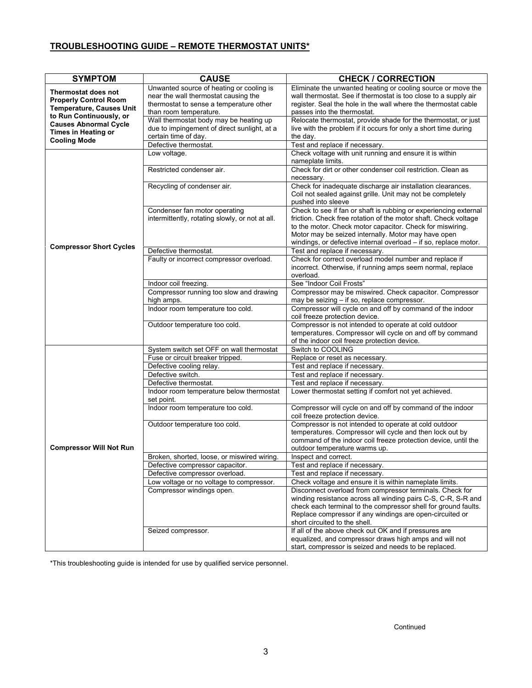# **TROUBLESHOOTING GUIDE – REMOTE THERMOSTAT UNITS\***

| <b>SYMPTOM</b>                                                                                                                                                                                         | <b>CAUSE</b>                                                                                                                                          | <b>CHECK / CORRECTION</b>                                                                                                                                                                                                                                                                                                   |
|--------------------------------------------------------------------------------------------------------------------------------------------------------------------------------------------------------|-------------------------------------------------------------------------------------------------------------------------------------------------------|-----------------------------------------------------------------------------------------------------------------------------------------------------------------------------------------------------------------------------------------------------------------------------------------------------------------------------|
| Thermostat does not<br><b>Properly Control Room</b><br><b>Temperature, Causes Unit</b><br>to Run Continuously, or<br><b>Causes Abnormal Cycle</b><br><b>Times in Heating or</b><br><b>Cooling Mode</b> | Unwanted source of heating or cooling is<br>near the wall thermostat causing the<br>thermostat to sense a temperature other<br>than room temperature. | Eliminate the unwanted heating or cooling source or move the<br>wall thermostat. See if thermostat is too close to a supply air<br>register. Seal the hole in the wall where the thermostat cable<br>passes into the thermostat.                                                                                            |
|                                                                                                                                                                                                        | Wall thermostat body may be heating up<br>due to impingement of direct sunlight, at a<br>certain time of day.                                         | Relocate thermostat, provide shade for the thermostat, or just<br>live with the problem if it occurs for only a short time during<br>the day.                                                                                                                                                                               |
|                                                                                                                                                                                                        | Defective thermostat.                                                                                                                                 | Test and replace if necessary.                                                                                                                                                                                                                                                                                              |
|                                                                                                                                                                                                        | Low voltage.<br>Restricted condenser air.                                                                                                             | Check voltage with unit running and ensure it is within<br>nameplate limits.<br>Check for dirt or other condenser coil restriction. Clean as                                                                                                                                                                                |
|                                                                                                                                                                                                        |                                                                                                                                                       | necessary.                                                                                                                                                                                                                                                                                                                  |
| <b>Compressor Short Cycles</b>                                                                                                                                                                         | Recycling of condenser air.                                                                                                                           | Check for inadequate discharge air installation clearances.<br>Coil not sealed against grille. Unit may not be completely<br>pushed into sleeve                                                                                                                                                                             |
|                                                                                                                                                                                                        | Condenser fan motor operating<br>intermittently, rotating slowly, or not at all.                                                                      | Check to see if fan or shaft is rubbing or experiencing external<br>friction. Check free rotation of the motor shaft. Check voltage<br>to the motor. Check motor capacitor. Check for miswiring.<br>Motor may be seized internally. Motor may have open<br>windings, or defective internal overload - if so, replace motor. |
|                                                                                                                                                                                                        | Defective thermostat.                                                                                                                                 | Test and replace if necessary.                                                                                                                                                                                                                                                                                              |
|                                                                                                                                                                                                        | Faulty or incorrect compressor overload.                                                                                                              | Check for correct overload model number and replace if<br>incorrect. Otherwise, if running amps seem normal, replace<br>overload.                                                                                                                                                                                           |
|                                                                                                                                                                                                        | Indoor coil freezing.                                                                                                                                 | See "Indoor Coil Frosts"                                                                                                                                                                                                                                                                                                    |
|                                                                                                                                                                                                        | Compressor running too slow and drawing<br>high amps.                                                                                                 | Compressor may be miswired. Check capacitor. Compressor<br>may be seizing - if so, replace compressor.                                                                                                                                                                                                                      |
|                                                                                                                                                                                                        | Indoor room temperature too cold.                                                                                                                     | Compressor will cycle on and off by command of the indoor<br>coil freeze protection device.                                                                                                                                                                                                                                 |
|                                                                                                                                                                                                        | Outdoor temperature too cold.                                                                                                                         | Compressor is not intended to operate at cold outdoor<br>temperatures. Compressor will cycle on and off by command<br>of the indoor coil freeze protection device.                                                                                                                                                          |
|                                                                                                                                                                                                        | System switch set OFF on wall thermostat                                                                                                              | Switch to COOLING                                                                                                                                                                                                                                                                                                           |
|                                                                                                                                                                                                        | Fuse or circuit breaker tripped.                                                                                                                      | Replace or reset as necessary.                                                                                                                                                                                                                                                                                              |
|                                                                                                                                                                                                        | Defective cooling relay.                                                                                                                              | Test and replace if necessary.                                                                                                                                                                                                                                                                                              |
|                                                                                                                                                                                                        | Defective switch.                                                                                                                                     | Test and replace if necessary.                                                                                                                                                                                                                                                                                              |
|                                                                                                                                                                                                        | Defective thermostat.                                                                                                                                 | Test and replace if necessary.                                                                                                                                                                                                                                                                                              |
| <b>Compressor Will Not Run</b>                                                                                                                                                                         | Indoor room temperature below thermostat<br>set point.                                                                                                | Lower thermostat setting if comfort not yet achieved.                                                                                                                                                                                                                                                                       |
|                                                                                                                                                                                                        | Indoor room temperature too cold.                                                                                                                     | Compressor will cycle on and off by command of the indoor<br>coil freeze protection device.                                                                                                                                                                                                                                 |
|                                                                                                                                                                                                        | Outdoor temperature too cold.                                                                                                                         | Compressor is not intended to operate at cold outdoor<br>temperatures. Compressor will cycle and then lock out by<br>command of the indoor coil freeze protection device, until the<br>outdoor temperature warms up.                                                                                                        |
|                                                                                                                                                                                                        | Broken, shorted, loose, or miswired wiring.                                                                                                           | Inspect and correct.                                                                                                                                                                                                                                                                                                        |
|                                                                                                                                                                                                        | Defective compressor capacitor.                                                                                                                       | Test and replace if necessary.                                                                                                                                                                                                                                                                                              |
|                                                                                                                                                                                                        | Defective compressor overload.                                                                                                                        | Test and replace if necessary.                                                                                                                                                                                                                                                                                              |
|                                                                                                                                                                                                        | Low voltage or no voltage to compressor.                                                                                                              | Check voltage and ensure it is within nameplate limits.                                                                                                                                                                                                                                                                     |
|                                                                                                                                                                                                        | Compressor windings open.                                                                                                                             | Disconnect overload from compressor terminals. Check for<br>winding resistance across all winding pairs C-S, C-R, S-R and<br>check each terminal to the compressor shell for ground faults.<br>Replace compressor if any windings are open-circuited or<br>short circuited to the shell.                                    |
|                                                                                                                                                                                                        | Seized compressor.                                                                                                                                    | If all of the above check out OK and if pressures are<br>equalized, and compressor draws high amps and will not<br>start, compressor is seized and needs to be replaced.                                                                                                                                                    |

\*This troubleshooting guide is intended for use by qualified service personnel.